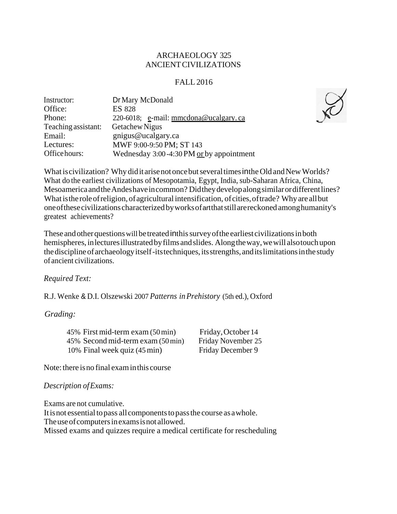## ARCHAEOLOGY 325 ANCIENTCIVILIZATIONS

# FALL 2016

| Dr Mary McDonald                         |
|------------------------------------------|
| <b>ES 828</b>                            |
| 220-6018; e-mail: mmcdona@ucalgary.ca    |
| Getachew Nigus                           |
| gnigus@ucalgary.ca                       |
| MWF 9:00-9:50 PM; ST 143                 |
| Wednesday 3:00-4:30 PM or by appointment |
|                                          |

What is civilization? Why did it arise not once but several times in the Old and New Worlds? What do the earliest civilizations of Mesopotamia, Egypt, India, sub-Saharan Africa, China, MesoamericaandtheAndeshaveincommon? Didtheydevelopalongsimilarordifferentlines? What is the role of religion, of agricultural intensification, of cities, of trade? Why are all but oneofthesecivilizationscharacterized byworksofartthatstillarereckoned amonghumanity's greatest achievements?

These and other questions will be treated in this survey of the earliest civilizations in both hemispheres, inlecturesillustratedbyfilmsandslides. Alongtheway,wewill alsotouchupon the discipline of archaeology itself-its techniques, its strengths, and its limitations in the study of ancient civilizations.

*Required Text:*

R.J. Wenke & D.I. Olszewski 2007 *Patterns inPrehistory* (5th ed.), Oxford

# *Grading:*

45% First mid-term exam (50min) 45% Second mid-term exam (50min) 10% Final week quiz (45min)

Friday,October 14 Friday November 25 Friday December 9

Note: there is no final exam in this course

*Description ofExams:*

Exams are not cumulative. It is not essential to pass all components to pass the course as a whole. The use of computers in exams is not allowed. Missed exams and quizzes require a medical certificate for rescheduling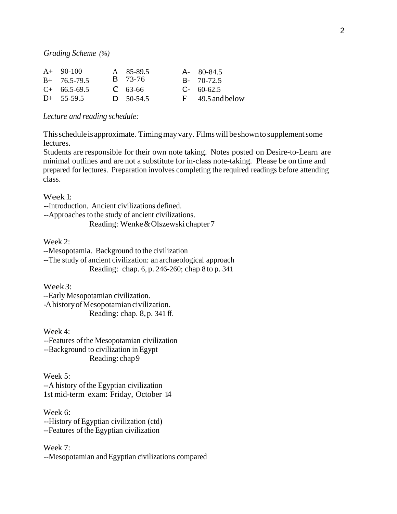*Grading Scheme (%)*

| $A+90-100$     | A 85-89.5      | $A - 80 - 84.5$      |
|----------------|----------------|----------------------|
| $B+ 76.5-79.5$ | <b>B</b> 73-76 | $B - 70-72.5$        |
| $C+66.5-69.5$  | $C$ 63-66      | $C - 60 - 62.5$      |
| $D+$ 55-59.5   | $D = 50-54.5$  | $F = 49.5$ and below |

*Lecture and reading schedule:*

This schedule is approximate. Timing may vary. Films will be shown to supplement some lectures.

Students are responsible for their own note taking. Notes posted on Desire-to-Learn are minimal outlines and are not a substitute for in-class note-taking. Please be on time and prepared for lectures. Preparation involves completing the required readings before attending class.

Week1:

--Introduction. Ancient civilizations defined.

--Approaches to the study of ancient civilizations.

Reading: Wenke&Olszewski chapter 7

Week 2:

--Mesopotamia. Background to the civilization

--The study of ancient civilization: an archaeological approach Reading: chap. 6, p. 246-260; chap 8 to p. 341

Week3:

--Early Mesopotamian civilization. -A history of Mesopotamian civilization. Reading: chap. 8,p. 341 ff.

Week 4:

--Features of the Mesopotamian civilization --Background to civilization in Egypt Reading: chap9

Week 5: --A history of the Egyptian civilization 1st mid-term exam: Friday, October 14

Week 6: --History of Egyptian civilization (ctd) --Features of the Egyptian civilization

Week 7: --Mesopotamian and Egyptian civilizations compared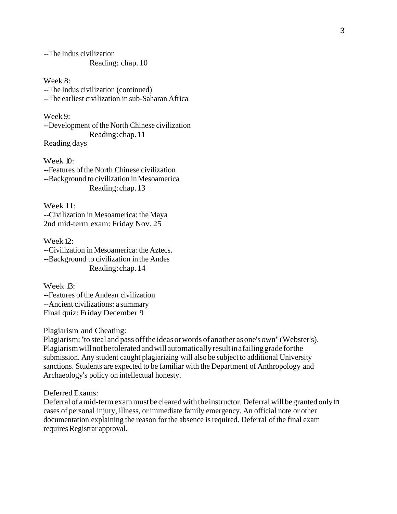--The Indus civilization Reading: chap. 10

Week 8: --The Indus civilization (continued) --The earliest civilization in sub-Saharan Africa

Week 9: --Development of the North Chinese civilization Reading:chap.11 Reading days

Week 10: --Features ofthe North Chinese civilization --Background to civilization inMesoamerica Reading:chap.13

Week 11: --Civilization in Mesoamerica: the Maya 2nd mid-term exam: Friday Nov. 25

Week 12: --Civilization in Mesoamerica: the Aztecs. --Background to civilization in the Andes Reading:chap.14

Week 13: --Features of the Andean civilization --Ancient civilizations: a summary Final quiz: Friday December 9

Plagiarism and Cheating:

Plagiarism: "to steal and pass offthe ideas orwords of another asone'sown" (Webster's). Plagiarismwillnotbetolerated andwillautomaticallyresultinafailinggradeforthe submission. Any student caught plagiarizing will also be subject to additional University sanctions. Students are expected to be familiar with the Department of Anthropology and Archaeology's policy on intellectual honesty.

Deferred Exams:

Deferral of a mid-term exam must be cleared with the instructor. Deferral will be granted only in cases of personal injury, illness, or immediate family emergency. An official note or other documentation explaining the reason for the absence is required. Deferral of the final exam requires Registrar approval.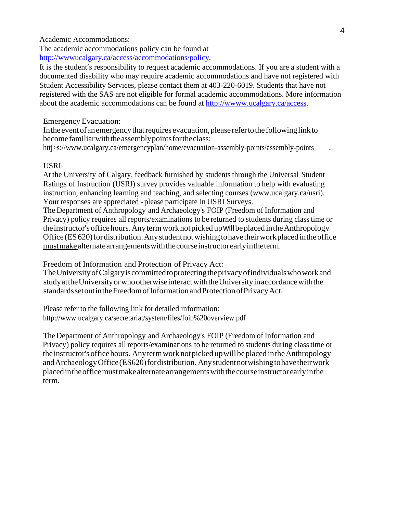Academic Accommodations:

The academic accommodations policy can be found at [http://wwwucalgary.ca/access/accommodations/policy.](http://wwwucalgary.ca/access/accommodations/policy)

It is the student's responsibility to request academic accommodations. If you are a student with a documented disability who may require academic accommodations and have not registered with Student Accessibility Services, please contact them at 403-220-6019. Students that have not registered with the SAS are not eligible for formal academic accommodations. More information about the academic accommodations can be found at [http://wwww.ucalgary.ca/access.](http://wwww.ucalgary.ca/access)

#### Emergency Evacuation:

In the event of an emergency that requires evacuation, please refer to the following link to becomefamiliarwiththeassemblypointsfortheclass:

[httj>s://www.ucalgary.ca/emergencyplan/home/evacuation-assembly-points/assembly-points](http://www.ucalgary.ca/emergencyplan/home/evacuation-assembly-points/assembly-points)

## USRI:

At the University of Calgary, feedback furnished by students through the Universal Student Ratings of Instruction (USRI) survey provides valuable information to help with evaluating instruction, enhancing learning and teaching, and selecting courses [\(www.ucalgary.ca/usri\).](http://www.ucalgary.ca/usri)) Your responses are appreciated -please participate in USRI Surveys.

The Department of Anthropology and Archaeology's FOIP (Freedom of Information and Privacy) policy requires all reports/examinations to be returned to students during classtime or the instructor's office hours. Any term work not picked up will be placed in the Anthropology Office (ES 620) for distribution. Any student not wishing to have their work placed in the office must make alternate arrangements with the course instructorearly in the term.

Freedom of Information and Protection of Privacy Act:

TheUniversityofCalgaryiscommittedtoprotectingtheprivacyofindividualswhoworkand studyattheUniversityorwhootherwiseinteractwiththeUniversityinaccordancewiththe standards set out in the Freedom of Information and Protection of Privacy Act.

Please refer to the following link for detailed information: <http://www.ucalgary.ca/secretariat/system/files/foip%20overview.pdf>

The Department of Anthropology and Archaeology's FOIP (Freedom of Information and Privacy) policy requires all reports/examinations to be returned to students during classtime or the instructor's officehours. Anytermwork notpicked upwillbeplaced intheAnthropology and Archaeology Office (ES620) for distribution. Any student not wishing to have their work placedintheofficemustmakealternatearrangementswiththecourseinstructorearlyinthe term.